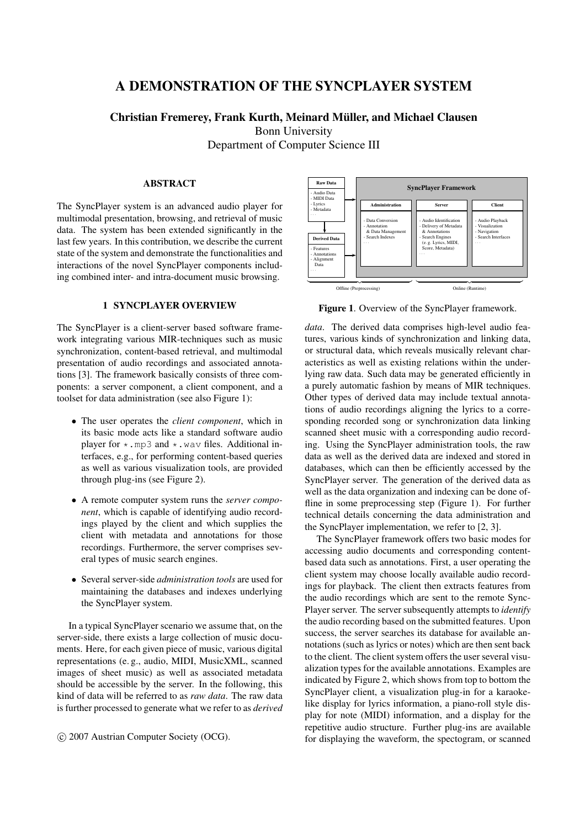## **A DEMONSTRATION OF THE SYNCPLAYER SYSTEM**

**Christian Fremerey, Frank Kurth, Meinard Muller, and Michael Clausen ¨** Bonn University Department of Computer Science III

## **ABSTRACT**

The SyncPlayer system is an advanced audio player for multimodal presentation, browsing, and retrieval of music data. The system has been extended significantly in the last few years. In this contribution, we describe the current state of the system and demonstrate the functionalities and interactions of the novel SyncPlayer components including combined inter- and intra-document music browsing.

## **1 SYNCPLAYER OVERVIEW**

The SyncPlayer is a client-server based software framework integrating various MIR-techniques such as music synchronization, content-based retrieval, and multimodal presentation of audio recordings and associated annotations [3]. The framework basically consists of three components: a server component, a client component, and a toolset for data administration (see also Figure 1):

- The user operates the *client component*, which in its basic mode acts like a standard software audio player for  $\star$ . mp3 and  $\star$ . wav files. Additional interfaces, e.g., for performing content-based queries as well as various visualization tools, are provided through plug-ins (see Figure 2).
- A remote computer system runs the *server component*, which is capable of identifying audio recordings played by the client and which supplies the client with metadata and annotations for those recordings. Furthermore, the server comprises several types of music search engines.
- Several server-side *administration tools* are used for maintaining the databases and indexes underlying the SyncPlayer system.

In a typical SyncPlayer scenario we assume that, on the server-side, there exists a large collection of music documents. Here, for each given piece of music, various digital representations (e. g., audio, MIDI, MusicXML, scanned images of sheet music) as well as associated metadata should be accessible by the server. In the following, this kind of data will be referred to as *raw data*. The raw data is further processed to generate what we refer to as *derived*





**Figure 1**. Overview of the SyncPlayer framework.

*data*. The derived data comprises high-level audio features, various kinds of synchronization and linking data, or structural data, which reveals musically relevant characteristics as well as existing relations within the underlying raw data. Such data may be generated efficiently in a purely automatic fashion by means of MIR techniques. Other types of derived data may include textual annotations of audio recordings aligning the lyrics to a corresponding recorded song or synchronization data linking scanned sheet music with a corresponding audio recording. Using the SyncPlayer administration tools, the raw data as well as the derived data are indexed and stored in databases, which can then be efficiently accessed by the SyncPlayer server. The generation of the derived data as well as the data organization and indexing can be done offline in some preprocessing step (Figure 1). For further technical details concerning the data administration and the SyncPlayer implementation, we refer to [2, 3].

The SyncPlayer framework offers two basic modes for accessing audio documents and corresponding contentbased data such as annotations. First, a user operating the client system may choose locally available audio recordings for playback. The client then extracts features from the audio recordings which are sent to the remote Sync-Player server. The server subsequently attempts to *identify* the audio recording based on the submitted features. Upon success, the server searches its database for available annotations (such as lyrics or notes) which are then sent back to the client. The client system offers the user several visualization types for the available annotations. Examples are indicated by Figure 2, which shows from top to bottom the SyncPlayer client, a visualization plug-in for a karaokelike display for lyrics information, a piano-roll style display for note (MIDI) information, and a display for the repetitive audio structure. Further plug-ins are available for displaying the waveform, the spectogram, or scanned